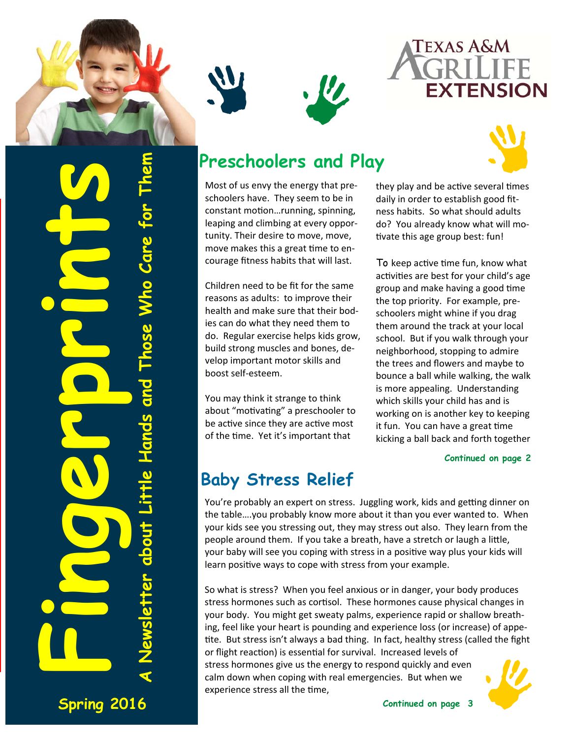





**Fingerprints A Newsletter about Little Hands and Those Who Care for Them**  Who Care **Those** etter about Little Hands and

**Spring 2016** 

## **Preschoolers and Play**

W

Most of us envy the energy that pre‐ schoolers have. They seem to be in constant motion...running, spinning, leaping and climbing at every oppor‐ tunity. Their desire to move, move, move makes this a great time to encourage fitness habits that will last.

Children need to be fit for the same reasons as adults: to improve their health and make sure that their bod‐ ies can do what they need them to do. Regular exercise helps kids grow, build strong muscles and bones, de‐ velop important motor skills and boost self‐esteem.

You may think it strange to think about "motivating" a preschooler to be active since they are active most of the time. Yet it's important that

they play and be active several times daily in order to establish good fit‐ ness habits. So what should adults do? You already know what will mo‐ tivate this age group best: fun!

To keep active time fun, know what activities are best for your child's age group and make having a good time the top priority. For example, pre‐ schoolers might whine if you drag them around the track at your local school. But if you walk through your neighborhood, stopping to admire the trees and flowers and maybe to bounce a ball while walking, the walk is more appealing. Understanding which skills your child has and is working on is another key to keeping it fun. You can have a great time kicking a ball back and forth together

#### **Continued on page 2**

#### **Baby Stress Relief**

You're probably an expert on stress. Juggling work, kids and getting dinner on the table….you probably know more about it than you ever wanted to. When your kids see you stressing out, they may stress out also. They learn from the people around them. If you take a breath, have a stretch or laugh a little, your baby will see you coping with stress in a positive way plus your kids will learn positive ways to cope with stress from your example.

So what is stress? When you feel anxious or in danger, your body produces stress hormones such as cortisol. These hormones cause physical changes in your body. You might get sweaty palms, experience rapid or shallow breath‐ ing, feel like your heart is pounding and experience loss (or increase) of appe‐ tite. But stress isn't always a bad thing. In fact, healthy stress (called the fight or flight reaction) is essential for survival. Increased levels of stress hormones give us the energy to respond quickly and even calm down when coping with real emergencies. But when we

experience stress all the time,

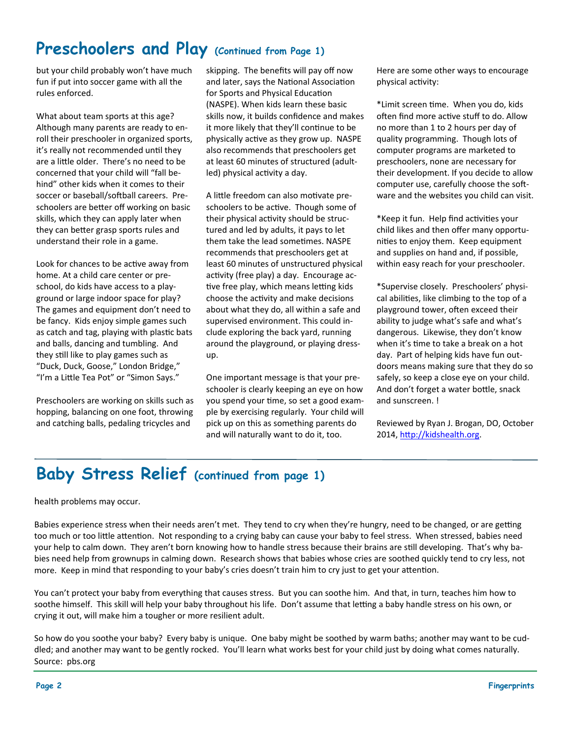#### **Preschoolers and Play (Continued from Page 1)**

but your child probably won't have much fun if put into soccer game with all the rules enforced.

What about team sports at this age? Although many parents are ready to en‐ roll their preschooler in organized sports, it's really not recommended until they are a little older. There's no need to be concerned that your child will "fall be‐ hind" other kids when it comes to their soccer or baseball/softball careers. Preschoolers are better off working on basic skills, which they can apply later when they can better grasp sports rules and understand their role in a game.

Look for chances to be active away from home. At a child care center or pre‐ school, do kids have access to a play‐ ground or large indoor space for play? The games and equipment don't need to be fancy. Kids enjoy simple games such as catch and tag, playing with plastic bats and balls, dancing and tumbling. And they still like to play games such as "Duck, Duck, Goose," London Bridge," "I'm a Little Tea Pot" or "Simon Says."

Preschoolers are working on skills such as hopping, balancing on one foot, throwing and catching balls, pedaling tricycles and

skipping. The benefits will pay off now and later, says the National Association for Sports and Physical Education (NASPE). When kids learn these basic skills now, it builds confidence and makes it more likely that they'll continue to be physically active as they grow up. NASPE also recommends that preschoolers get at least 60 minutes of structured (adult‐ led) physical activity a day.

A little freedom can also motivate preschoolers to be active. Though some of their physical activity should be structured and led by adults, it pays to let them take the lead sometimes. NASPE recommends that preschoolers get at least 60 minutes of unstructured physical activity (free play) a day. Encourage active free play, which means letting kids choose the activity and make decisions about what they do, all within a safe and supervised environment. This could in‐ clude exploring the back yard, running around the playground, or playing dress‐ up.

One important message is that your pre‐ schooler is clearly keeping an eye on how you spend your time, so set a good example by exercising regularly. Your child will pick up on this as something parents do and will naturally want to do it, too.

Here are some other ways to encourage physical activity:

\*Limit screen Ɵme. When you do, kids often find more active stuff to do. Allow no more than 1 to 2 hours per day of quality programming. Though lots of computer programs are marketed to preschoolers, none are necessary for their development. If you decide to allow computer use, carefully choose the software and the websites you child can visit.

\*Keep it fun. Help find acƟviƟes your child likes and then offer many opportu‐ nities to enjoy them. Keep equipment and supplies on hand and, if possible, within easy reach for your preschooler.

\*Supervise closely. Preschoolers' physi‐ cal abilities, like climbing to the top of a playground tower, often exceed their ability to judge what's safe and what's dangerous. Likewise, they don't know when it's time to take a break on a hot day. Part of helping kids have fun out‐ doors means making sure that they do so safely, so keep a close eye on your child. And don't forget a water bottle, snack and sunscreen. !

Reviewed by Ryan J. Brogan, DO, October 2014, http://kidshealth.org.

#### **Baby Stress Relief (continued from page 1)**

health problems may occur.

Babies experience stress when their needs aren't met. They tend to cry when they're hungry, need to be changed, or are getting too much or too little attention. Not responding to a crying baby can cause your baby to feel stress. When stressed, babies need your help to calm down. They aren't born knowing how to handle stress because their brains are still developing. That's why babies need help from grownups in calming down. Research shows that babies whose cries are soothed quickly tend to cry less, not more. Keep in mind that responding to your baby's cries doesn't train him to cry just to get your attention.

You can't protect your baby from everything that causes stress. But you can soothe him. And that, in turn, teaches him how to soothe himself. This skill will help your baby throughout his life. Don't assume that letting a baby handle stress on his own, or crying it out, will make him a tougher or more resilient adult.

So how do you soothe your baby? Every baby is unique. One baby might be soothed by warm baths; another may want to be cud‐ dled; and another may want to be gently rocked. You'll learn what works best for your child just by doing what comes naturally. Source: pbs.org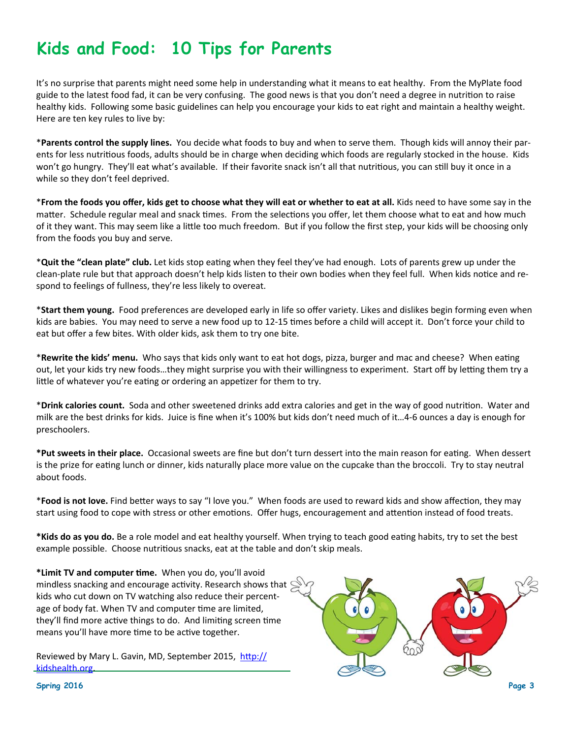## **Kids and Food: 10 Tips for Parents**

It's no surprise that parents might need some help in understanding what it means to eat healthy. From the MyPlate food guide to the latest food fad, it can be very confusing. The good news is that you don't need a degree in nutrition to raise healthy kids. Following some basic guidelines can help you encourage your kids to eat right and maintain a healthy weight. Here are ten key rules to live by:

\***Parents control the supply lines.** You decide what foods to buy and when to serve them. Though kids will annoy their par‐ ents for less nutritious foods, adults should be in charge when deciding which foods are regularly stocked in the house. Kids won't go hungry. They'll eat what's available. If their favorite snack isn't all that nutritious, you can still buy it once in a while so they don't feel deprived.

\*From the foods you offer, kids get to choose what they will eat or whether to eat at all. Kids need to have some say in the matter. Schedule regular meal and snack times. From the selections you offer, let them choose what to eat and how much of it they want. This may seem like a little too much freedom. But if you follow the first step, your kids will be choosing only from the foods you buy and serve.

\***Quit the "clean plate" club.** Let kids stop eaƟng when they feel they've had enough. Lots of parents grew up under the clean-plate rule but that approach doesn't help kids listen to their own bodies when they feel full. When kids notice and respond to feelings of fullness, they're less likely to overeat.

\***Start them young.** Food preferences are developed early in life so offer variety. Likes and dislikes begin forming even when kids are babies. You may need to serve a new food up to 12-15 times before a child will accept it. Don't force your child to eat but offer a few bites. With older kids, ask them to try one bite.

\*Rewrite the kids' menu. Who says that kids only want to eat hot dogs, pizza, burger and mac and cheese? When eating out, let your kids try new foods...they might surprise you with their willingness to experiment. Start off by letting them try a little of whatever you're eating or ordering an appetizer for them to try.

\***Drink calories count.** Soda and other sweetened drinks add extra calories and get in the way of good nutriƟon. Water and milk are the best drinks for kids. Juice is fine when it's 100% but kids don't need much of it…4‐6 ounces a day is enough for preschoolers.

**\*Put sweets in their place.** Occasional sweets are fine but don't turn dessert into the main reason for eaƟng. When dessert is the prize for eating lunch or dinner, kids naturally place more value on the cupcake than the broccoli. Try to stay neutral about foods.

\***Food is not love.** Find beƩer ways to say "I love you." When foods are used to reward kids and show affecƟon, they may start using food to cope with stress or other emotions. Offer hugs, encouragement and attention instead of food treats.

\*Kids do as you do. Be a role model and eat healthy yourself. When trying to teach good eating habits, try to set the best example possible. Choose nutritious snacks, eat at the table and don't skip meals.

**\*Limit TV and computer Ɵme.** When you do, you'll avoid mindless snacking and encourage activity. Research shows that  $\mathbb{S}$ kids who cut down on TV watching also reduce their percent‐ age of body fat. When TV and computer time are limited, they'll find more active things to do. And limiting screen time means you'll have more time to be active together.

Reviewed by Mary L. Gavin, MD, September 2015, http:// kidshealth.org.



**Spring 2016** Page 3 **Page 3**